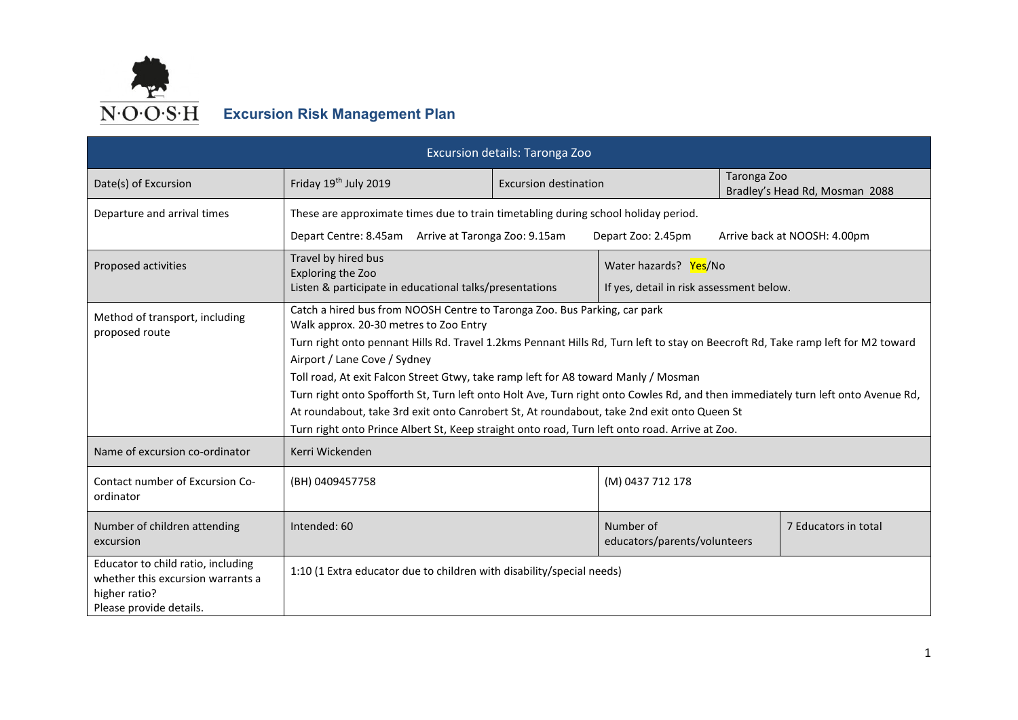

| Excursion details: Taronga Zoo                                                                                      |                                                                                                                                                                                                                                                                                                                                                                                                                                                                                                                                                                                                                                                                                                                                      |                              |                                          |                      |                                |  |
|---------------------------------------------------------------------------------------------------------------------|--------------------------------------------------------------------------------------------------------------------------------------------------------------------------------------------------------------------------------------------------------------------------------------------------------------------------------------------------------------------------------------------------------------------------------------------------------------------------------------------------------------------------------------------------------------------------------------------------------------------------------------------------------------------------------------------------------------------------------------|------------------------------|------------------------------------------|----------------------|--------------------------------|--|
| Date(s) of Excursion                                                                                                | Friday 19th July 2019                                                                                                                                                                                                                                                                                                                                                                                                                                                                                                                                                                                                                                                                                                                | <b>Excursion destination</b> |                                          | Taronga Zoo          | Bradley's Head Rd, Mosman 2088 |  |
| Departure and arrival times                                                                                         | These are approximate times due to train timetabling during school holiday period.                                                                                                                                                                                                                                                                                                                                                                                                                                                                                                                                                                                                                                                   |                              |                                          |                      |                                |  |
|                                                                                                                     | Depart Centre: 8.45am Arrive at Taronga Zoo: 9.15am                                                                                                                                                                                                                                                                                                                                                                                                                                                                                                                                                                                                                                                                                  |                              | Depart Zoo: 2.45pm                       |                      | Arrive back at NOOSH: 4.00pm   |  |
| Proposed activities                                                                                                 | Travel by hired bus<br><b>Exploring the Zoo</b>                                                                                                                                                                                                                                                                                                                                                                                                                                                                                                                                                                                                                                                                                      |                              | Water hazards? Yes/No                    |                      |                                |  |
|                                                                                                                     | Listen & participate in educational talks/presentations                                                                                                                                                                                                                                                                                                                                                                                                                                                                                                                                                                                                                                                                              |                              | If yes, detail in risk assessment below. |                      |                                |  |
| Method of transport, including<br>proposed route<br>Name of excursion co-ordinator                                  | Catch a hired bus from NOOSH Centre to Taronga Zoo. Bus Parking, car park<br>Walk approx. 20-30 metres to Zoo Entry<br>Turn right onto pennant Hills Rd. Travel 1.2kms Pennant Hills Rd, Turn left to stay on Beecroft Rd, Take ramp left for M2 toward<br>Airport / Lane Cove / Sydney<br>Toll road, At exit Falcon Street Gtwy, take ramp left for A8 toward Manly / Mosman<br>Turn right onto Spofforth St, Turn left onto Holt Ave, Turn right onto Cowles Rd, and then immediately turn left onto Avenue Rd,<br>At roundabout, take 3rd exit onto Canrobert St, At roundabout, take 2nd exit onto Queen St<br>Turn right onto Prince Albert St, Keep straight onto road, Turn left onto road. Arrive at Zoo.<br>Kerri Wickenden |                              |                                          |                      |                                |  |
| Contact number of Excursion Co-<br>ordinator                                                                        | (BH) 0409457758<br>(M) 0437 712 178                                                                                                                                                                                                                                                                                                                                                                                                                                                                                                                                                                                                                                                                                                  |                              |                                          |                      |                                |  |
| Number of children attending<br>excursion                                                                           | Intended: 60<br>Number of<br>educators/parents/volunteers                                                                                                                                                                                                                                                                                                                                                                                                                                                                                                                                                                                                                                                                            |                              |                                          | 7 Educators in total |                                |  |
| Educator to child ratio, including<br>whether this excursion warrants a<br>higher ratio?<br>Please provide details. | 1:10 (1 Extra educator due to children with disability/special needs)                                                                                                                                                                                                                                                                                                                                                                                                                                                                                                                                                                                                                                                                |                              |                                          |                      |                                |  |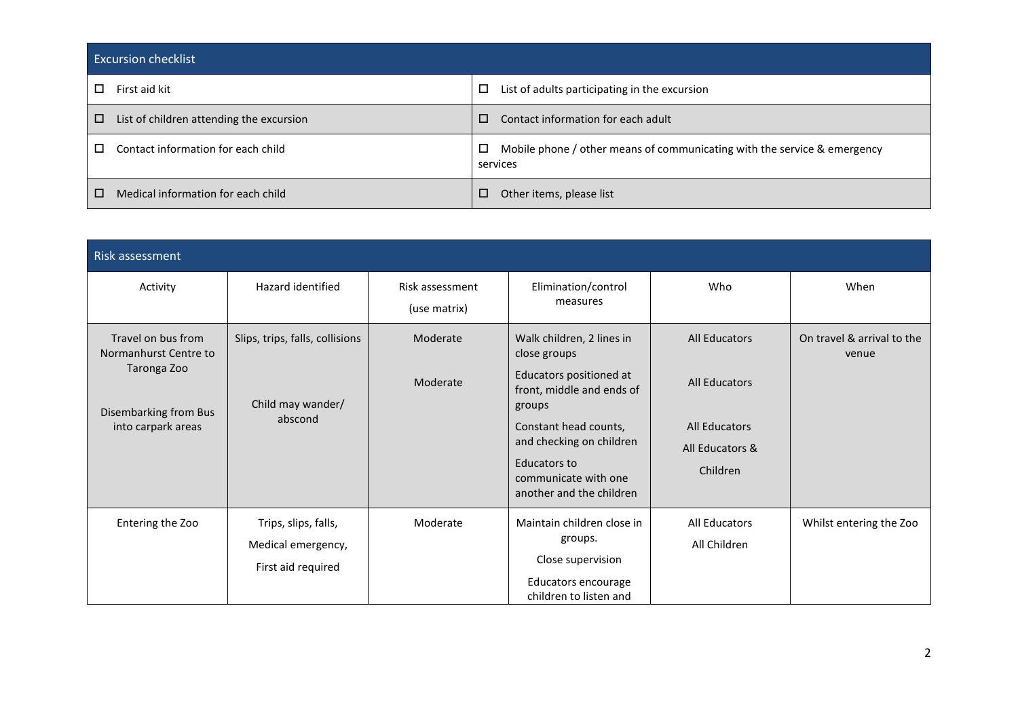| <b>Excursion checklist</b>                    |                                                                                           |  |  |  |  |
|-----------------------------------------------|-------------------------------------------------------------------------------------------|--|--|--|--|
| First aid kit<br>П                            | List of adults participating in the excursion<br>0                                        |  |  |  |  |
| List of children attending the excursion<br>□ | Contact information for each adult<br>□                                                   |  |  |  |  |
| Contact information for each child<br>П.      | Mobile phone / other means of communicating with the service & emergency<br>◻<br>services |  |  |  |  |
| □<br>Medical information for each child       | Other items, please list                                                                  |  |  |  |  |

| Risk assessment                                                                                           |                                                                  |                                 |                                                                                                                                                                                                                                      |                                                                                                     |                                     |
|-----------------------------------------------------------------------------------------------------------|------------------------------------------------------------------|---------------------------------|--------------------------------------------------------------------------------------------------------------------------------------------------------------------------------------------------------------------------------------|-----------------------------------------------------------------------------------------------------|-------------------------------------|
| Activity                                                                                                  | Hazard identified                                                | Risk assessment<br>(use matrix) | Elimination/control<br>measures                                                                                                                                                                                                      | Who                                                                                                 | When                                |
| Travel on bus from<br>Normanhurst Centre to<br>Taronga Zoo<br>Disembarking from Bus<br>into carpark areas | Slips, trips, falls, collisions<br>Child may wander/<br>abscond  | Moderate<br>Moderate            | Walk children, 2 lines in<br>close groups<br>Educators positioned at<br>front, middle and ends of<br>groups<br>Constant head counts,<br>and checking on children<br>Educators to<br>communicate with one<br>another and the children | <b>All Educators</b><br><b>All Educators</b><br><b>All Educators</b><br>All Educators &<br>Children | On travel & arrival to the<br>venue |
| Entering the Zoo                                                                                          | Trips, slips, falls,<br>Medical emergency,<br>First aid required | Moderate                        | Maintain children close in<br>groups.<br>Close supervision<br>Educators encourage<br>children to listen and                                                                                                                          | All Educators<br>All Children                                                                       | Whilst entering the Zoo             |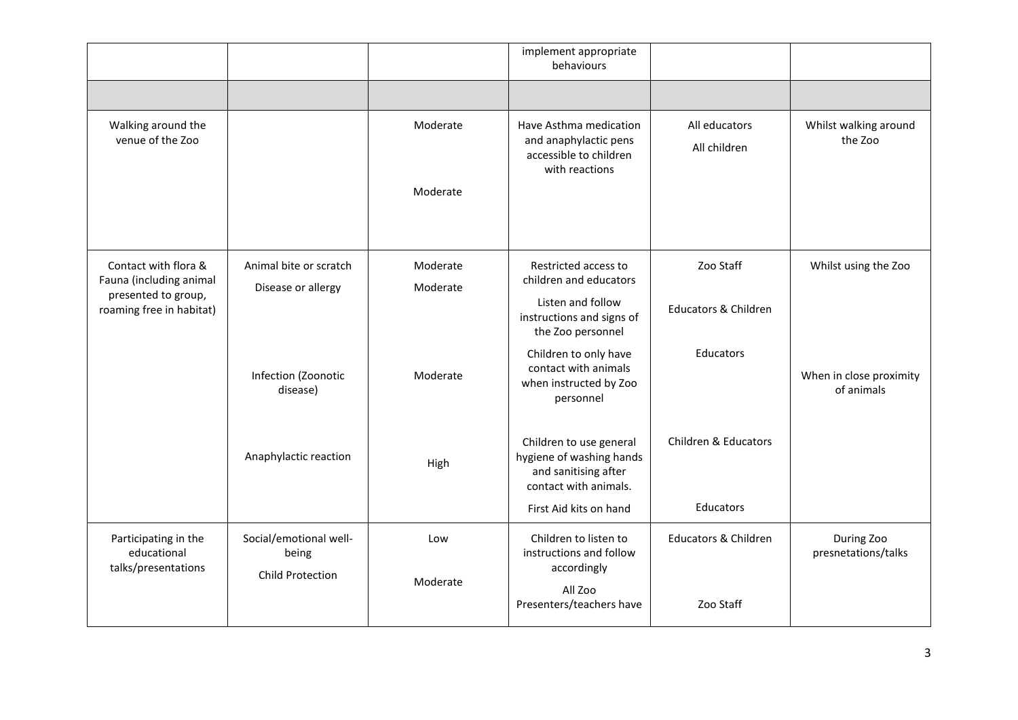|                                                            |                                                            |                      | implement appropriate<br>behaviours                                                                  |                                 |                                       |
|------------------------------------------------------------|------------------------------------------------------------|----------------------|------------------------------------------------------------------------------------------------------|---------------------------------|---------------------------------------|
|                                                            |                                                            |                      |                                                                                                      |                                 |                                       |
| Walking around the<br>venue of the Zoo                     |                                                            | Moderate             | Have Asthma medication<br>and anaphylactic pens<br>accessible to children<br>with reactions          | All educators<br>All children   | Whilst walking around<br>the Zoo      |
|                                                            |                                                            | Moderate             |                                                                                                      |                                 |                                       |
| Contact with flora &<br>Fauna (including animal            | Animal bite or scratch<br>Disease or allergy               | Moderate<br>Moderate | Restricted access to<br>children and educators                                                       | Zoo Staff                       | Whilst using the Zoo                  |
| presented to group,<br>roaming free in habitat)            |                                                            |                      | Listen and follow<br>instructions and signs of<br>the Zoo personnel                                  | <b>Educators &amp; Children</b> |                                       |
|                                                            | Infection (Zoonotic<br>disease)                            | Moderate             | Children to only have<br>contact with animals<br>when instructed by Zoo<br>personnel                 | Educators                       | When in close proximity<br>of animals |
|                                                            | Anaphylactic reaction                                      | High                 | Children to use general<br>hygiene of washing hands<br>and sanitising after<br>contact with animals. | Children & Educators            |                                       |
|                                                            |                                                            |                      | First Aid kits on hand                                                                               | <b>Educators</b>                |                                       |
| Participating in the<br>educational<br>talks/presentations | Social/emotional well-<br>being<br><b>Child Protection</b> | Low<br>Moderate      | Children to listen to<br>instructions and follow<br>accordingly                                      | <b>Educators &amp; Children</b> | During Zoo<br>presnetations/talks     |
|                                                            |                                                            |                      | All Zoo<br>Presenters/teachers have                                                                  | Zoo Staff                       |                                       |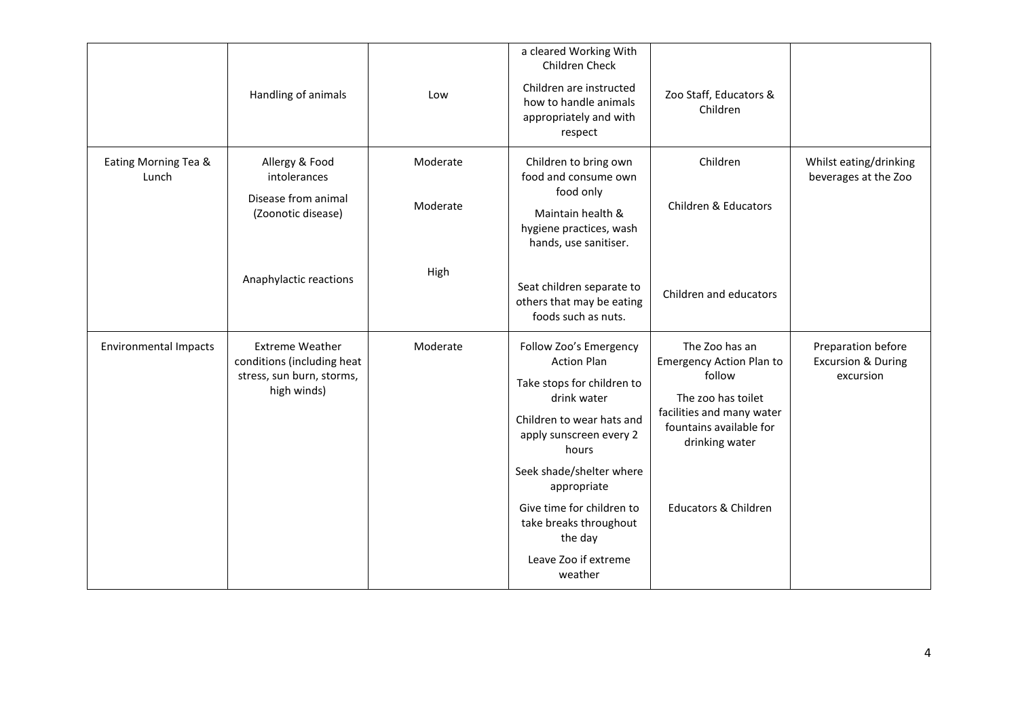|                               | Handling of animals                                                                              | Low                  | a cleared Working With<br>Children Check<br>Children are instructed<br>how to handle animals<br>appropriately and with<br>respect                                                                                                                                                                          | Zoo Staff, Educators &<br>Children                                                                                                                                                             |                                                                  |
|-------------------------------|--------------------------------------------------------------------------------------------------|----------------------|------------------------------------------------------------------------------------------------------------------------------------------------------------------------------------------------------------------------------------------------------------------------------------------------------------|------------------------------------------------------------------------------------------------------------------------------------------------------------------------------------------------|------------------------------------------------------------------|
| Eating Morning Tea &<br>Lunch | Allergy & Food<br>intolerances<br>Disease from animal<br>(Zoonotic disease)                      | Moderate<br>Moderate | Children to bring own<br>food and consume own<br>food only<br>Maintain health &<br>hygiene practices, wash<br>hands, use sanitiser.                                                                                                                                                                        | Children<br>Children & Educators                                                                                                                                                               | Whilst eating/drinking<br>beverages at the Zoo                   |
|                               | Anaphylactic reactions                                                                           | High                 | Seat children separate to<br>others that may be eating<br>foods such as nuts.                                                                                                                                                                                                                              | Children and educators                                                                                                                                                                         |                                                                  |
| <b>Environmental Impacts</b>  | <b>Extreme Weather</b><br>conditions (including heat<br>stress, sun burn, storms,<br>high winds) | Moderate             | Follow Zoo's Emergency<br><b>Action Plan</b><br>Take stops for children to<br>drink water<br>Children to wear hats and<br>apply sunscreen every 2<br>hours<br>Seek shade/shelter where<br>appropriate<br>Give time for children to<br>take breaks throughout<br>the day<br>Leave Zoo if extreme<br>weather | The Zoo has an<br><b>Emergency Action Plan to</b><br>follow<br>The zoo has toilet<br>facilities and many water<br>fountains available for<br>drinking water<br><b>Educators &amp; Children</b> | Preparation before<br><b>Excursion &amp; During</b><br>excursion |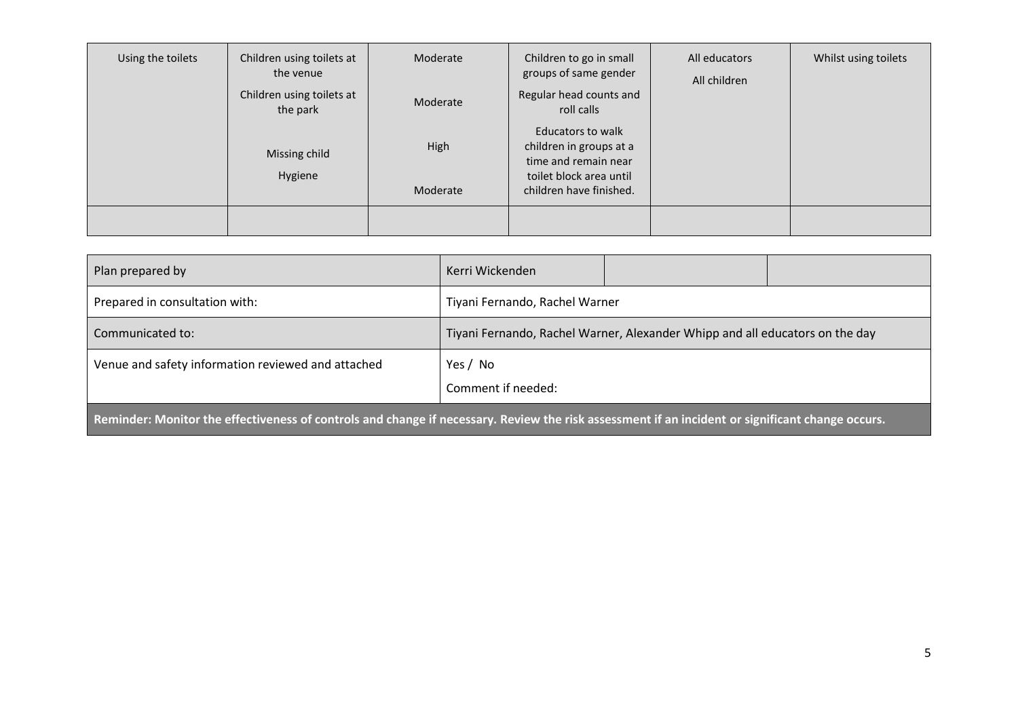| Using the toilets | Children using toilets at<br>the venue<br>Children using toilets at<br>the park | Moderate<br>Moderate | Children to go in small<br>groups of same gender<br>Regular head counts and<br>roll calls                                  | All educators<br>All children | Whilst using toilets |
|-------------------|---------------------------------------------------------------------------------|----------------------|----------------------------------------------------------------------------------------------------------------------------|-------------------------------|----------------------|
|                   | Missing child<br>Hygiene                                                        | High<br>Moderate     | Educators to walk<br>children in groups at a<br>time and remain near<br>toilet block area until<br>children have finished. |                               |                      |
|                   |                                                                                 |                      |                                                                                                                            |                               |                      |

| Plan prepared by                                                                                                                                 | Kerri Wickenden                                                              |  |  |  |  |
|--------------------------------------------------------------------------------------------------------------------------------------------------|------------------------------------------------------------------------------|--|--|--|--|
| Prepared in consultation with:                                                                                                                   | Tiyani Fernando, Rachel Warner                                               |  |  |  |  |
| Communicated to:                                                                                                                                 | Tiyani Fernando, Rachel Warner, Alexander Whipp and all educators on the day |  |  |  |  |
| Venue and safety information reviewed and attached                                                                                               | Yes / No<br>Comment if needed:                                               |  |  |  |  |
| Reminder: Monitor the effectiveness of controls and change if necessary. Review the risk assessment if an incident or significant change occurs. |                                                                              |  |  |  |  |